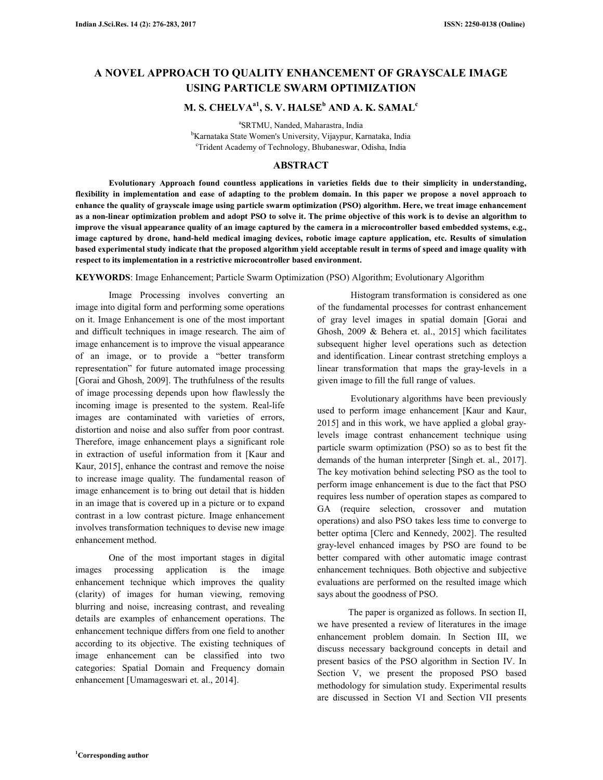# **A NOVEL APPROACH TO QUALITY ENHANCEMENT OF GRAYSCALE IMAGE USING PARTICLE SWARM OPTIMIZATION**

## **M. S. CHELVAa1, S. V. HALSE<sup>b</sup> AND A. K. SAMAL<sup>c</sup>**

a SRTMU, Nanded, Maharastra, India <sup>b</sup>Karnataka State Women's University, Vijaypur, Karnataka, India <sup>c</sup>Trident Academy of Technology, Bhubaneswar, Odisha, India

## **ABSTRACT**

 **Evolutionary Approach found countless applications in varieties fields due to their simplicity in understanding, flexibility in implementation and ease of adapting to the problem domain. In this paper we propose a novel approach to enhance the quality of grayscale image using particle swarm optimization (PSO) algorithm. Here, we treat image enhancement as a non-linear optimization problem and adopt PSO to solve it. The prime objective of this work is to devise an algorithm to improve the visual appearance quality of an image captured by the camera in a microcontroller based embedded systems, e.g., image captured by drone, hand-held medical imaging devices, robotic image capture application, etc. Results of simulation based experimental study indicate that the proposed algorithm yield acceptable result in terms of speed and image quality with respect to its implementation in a restrictive microcontroller based environment.** 

**KEYWORDS**: Image Enhancement; Particle Swarm Optimization (PSO) Algorithm; Evolutionary Algorithm

 Image Processing involves converting an image into digital form and performing some operations on it. Image Enhancement is one of the most important and difficult techniques in image research. The aim of image enhancement is to improve the visual appearance of an image, or to provide a "better transform representation" for future automated image processing [Gorai and Ghosh, 2009]. The truthfulness of the results of image processing depends upon how flawlessly the incoming image is presented to the system. Real-life images are contaminated with varieties of errors, distortion and noise and also suffer from poor contrast. Therefore, image enhancement plays a significant role in extraction of useful information from it [Kaur and Kaur, 2015], enhance the contrast and remove the noise to increase image quality. The fundamental reason of image enhancement is to bring out detail that is hidden in an image that is covered up in a picture or to expand contrast in a low contrast picture. Image enhancement involves transformation techniques to devise new image enhancement method.

 One of the most important stages in digital images processing application is the image enhancement technique which improves the quality (clarity) of images for human viewing, removing blurring and noise, increasing contrast, and revealing details are examples of enhancement operations. The enhancement technique differs from one field to another according to its objective. The existing techniques of image enhancement can be classified into two categories: Spatial Domain and Frequency domain enhancement [Umamageswari et. al., 2014].

 Histogram transformation is considered as one of the fundamental processes for contrast enhancement of gray level images in spatial domain [Gorai and Ghosh, 2009 & Behera et. al., 2015] which facilitates subsequent higher level operations such as detection and identification. Linear contrast stretching employs a linear transformation that maps the gray-levels in a given image to fill the full range of values.

 Evolutionary algorithms have been previously used to perform image enhancement [Kaur and Kaur, 2015] and in this work, we have applied a global graylevels image contrast enhancement technique using particle swarm optimization (PSO) so as to best fit the demands of the human interpreter [Singh et. al., 2017]. The key motivation behind selecting PSO as the tool to perform image enhancement is due to the fact that PSO requires less number of operation stapes as compared to GA (require selection, crossover and mutation operations) and also PSO takes less time to converge to better optima [Clerc and Kennedy, 2002]. The resulted gray-level enhanced images by PSO are found to be better compared with other automatic image contrast enhancement techniques. Both objective and subjective evaluations are performed on the resulted image which says about the goodness of PSO.

 The paper is organized as follows. In section II, we have presented a review of literatures in the image enhancement problem domain. In Section III, we discuss necessary background concepts in detail and present basics of the PSO algorithm in Section IV. In Section V, we present the proposed PSO based methodology for simulation study. Experimental results are discussed in Section VI and Section VII presents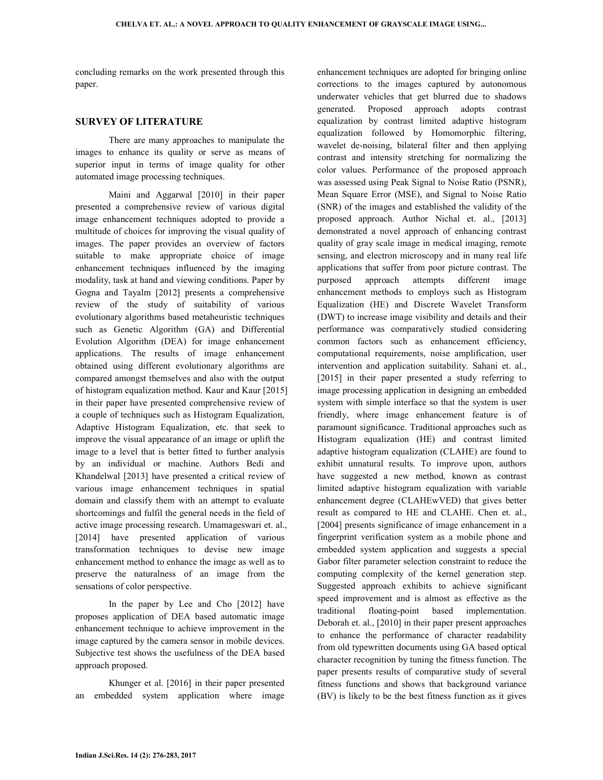concluding remarks on the work presented through this paper.

## **SURVEY OF LITERATURE**

 There are many approaches to manipulate the images to enhance its quality or serve as means of superior input in terms of image quality for other automated image processing techniques.

 Maini and Aggarwal [2010] in their paper presented a comprehensive review of various digital image enhancement techniques adopted to provide a multitude of choices for improving the visual quality of images. The paper provides an overview of factors suitable to make appropriate choice of image enhancement techniques influenced by the imaging modality, task at hand and viewing conditions. Paper by Gogna and Tayalm [2012] presents a comprehensive review of the study of suitability of various evolutionary algorithms based metaheuristic techniques such as Genetic Algorithm (GA) and Differential Evolution Algorithm (DEA) for image enhancement applications. The results of image enhancement obtained using different evolutionary algorithms are compared amongst themselves and also with the output of histogram equalization method. Kaur and Kaur [2015] in their paper have presented comprehensive review of a couple of techniques such as Histogram Equalization, Adaptive Histogram Equalization, etc. that seek to improve the visual appearance of an image or uplift the image to a level that is better fitted to further analysis by an individual or machine. Authors Bedi and Khandelwal [2013] have presented a critical review of various image enhancement techniques in spatial domain and classify them with an attempt to evaluate shortcomings and fulfil the general needs in the field of active image processing research. Umamageswari et. al., [2014] have presented application of various transformation techniques to devise new image enhancement method to enhance the image as well as to preserve the naturalness of an image from the sensations of color perspective.

 In the paper by Lee and Cho [2012] have proposes application of DEA based automatic image enhancement technique to achieve improvement in the image captured by the camera sensor in mobile devices. Subjective test shows the usefulness of the DEA based approach proposed.

 Khunger et al. [2016] in their paper presented an embedded system application where image

enhancement techniques are adopted for bringing online corrections to the images captured by autonomous underwater vehicles that get blurred due to shadows generated. Proposed approach adopts contrast equalization by contrast limited adaptive histogram equalization followed by Homomorphic filtering, wavelet de-noising, bilateral filter and then applying contrast and intensity stretching for normalizing the color values. Performance of the proposed approach was assessed using Peak Signal to Noise Ratio (PSNR), Mean Square Error (MSE), and Signal to Noise Ratio (SNR) of the images and established the validity of the proposed approach. Author Nichal et. al., [2013] demonstrated a novel approach of enhancing contrast quality of gray scale image in medical imaging, remote sensing, and electron microscopy and in many real life applications that suffer from poor picture contrast. The purposed approach attempts different image enhancement methods to employs such as Histogram Equalization (HE) and Discrete Wavelet Transform (DWT) to increase image visibility and details and their performance was comparatively studied considering common factors such as enhancement efficiency, computational requirements, noise amplification, user intervention and application suitability. Sahani et. al., [2015] in their paper presented a study referring to image processing application in designing an embedded system with simple interface so that the system is user friendly, where image enhancement feature is of paramount significance. Traditional approaches such as Histogram equalization (HE) and contrast limited adaptive histogram equalization (CLAHE) are found to exhibit unnatural results. To improve upon, authors have suggested a new method, known as contrast limited adaptive histogram equalization with variable enhancement degree (CLAHEwVED) that gives better result as compared to HE and CLAHE. Chen et. al., [2004] presents significance of image enhancement in a fingerprint verification system as a mobile phone and embedded system application and suggests a special Gabor filter parameter selection constraint to reduce the computing complexity of the kernel generation step. Suggested approach exhibits to achieve significant speed improvement and is almost as effective as the traditional floating-point based implementation. Deborah et. al., [2010] in their paper present approaches to enhance the performance of character readability from old typewritten documents using GA based optical character recognition by tuning the fitness function. The paper presents results of comparative study of several fitness functions and shows that background variance (BV) is likely to be the best fitness function as it gives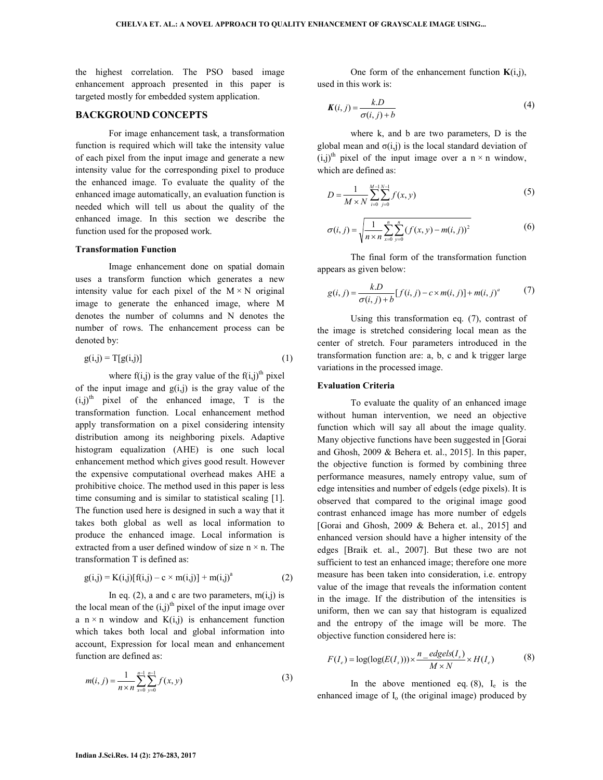the highest correlation. The PSO based image enhancement approach presented in this paper is targeted mostly for embedded system application.

## **BACKGROUND CONCEPTS**

 For image enhancement task, a transformation function is required which will take the intensity value of each pixel from the input image and generate a new intensity value for the corresponding pixel to produce the enhanced image. To evaluate the quality of the enhanced image automatically, an evaluation function is needed which will tell us about the quality of the enhanced image. In this section we describe the function used for the proposed work.

#### **Transformation Function**

 Image enhancement done on spatial domain uses a transform function which generates a new intensity value for each pixel of the  $M \times N$  original image to generate the enhanced image, where M denotes the number of columns and N denotes the number of rows. The enhancement process can be denoted by:

$$
g(i,j) = T[g(i,j)]\tag{1}
$$

where  $f(i,j)$  is the gray value of the  $f(i,j)$ <sup>th</sup> pixel of the input image and  $g(i,j)$  is the gray value of the  $(i,j)$ <sup>th</sup> pixel of the enhanced image, T is the transformation function. Local enhancement method apply transformation on a pixel considering intensity distribution among its neighboring pixels. Adaptive histogram equalization (AHE) is one such local enhancement method which gives good result. However the expensive computational overhead makes AHE a prohibitive choice. The method used in this paper is less time consuming and is similar to statistical scaling [1]. The function used here is designed in such a way that it takes both global as well as local information to produce the enhanced image. Local information is extracted from a user defined window of size  $n \times n$ . The transformation T is defined as:

$$
g(i,j) = K(i,j)[f(i,j) - c \times m(i,j)] + m(i,j)^{a}
$$
 (2)

In eq. (2), a and c are two parameters,  $m(i,j)$  is the local mean of the  $(i,j)$ <sup>th</sup> pixel of the input image over a  $n \times n$  window and  $K(i,j)$  is enhancement function which takes both local and global information into account, Expression for local mean and enhancement function are defined as:

$$
m(i, j) = \frac{1}{n \times n} \sum_{x=0}^{n-1} \sum_{y=0}^{n-1} f(x, y)
$$
 (3)

One form of the enhancement function  $K(i,j)$ , used in this work is:

$$
K(i, j) = \frac{k.D}{\sigma(i, j) + b} \tag{4}
$$

 where k, and b are two parameters, D is the global mean and  $\sigma(i,j)$  is the local standard deviation of  $(i,j)$ <sup>th</sup> pixel of the input image over a n  $\times$  n window, which are defined as:

$$
D = \frac{1}{M \times N} \sum_{i=0}^{M-1} \sum_{j=0}^{N-1} f(x, y)
$$
 (5)

$$
\sigma(i,j) = \sqrt{\frac{1}{n \times n} \sum_{x=0}^{n} \sum_{y=0}^{n} (f(x,y) - m(i,j))^2}
$$
(6)

 The final form of the transformation function appears as given below:

$$
g(i, j) = \frac{k.D}{\sigma(i, j) + b} [f(i, j) - c \times m(i, j)] + m(i, j)^a \tag{7}
$$

 Using this transformation eq. (7), contrast of the image is stretched considering local mean as the center of stretch. Four parameters introduced in the transformation function are: a, b, c and k trigger large variations in the processed image.

#### **Evaluation Criteria**

 To evaluate the quality of an enhanced image without human intervention, we need an objective function which will say all about the image quality. Many objective functions have been suggested in [Gorai and Ghosh, 2009 & Behera et. al., 2015]. In this paper, the objective function is formed by combining three performance measures, namely entropy value, sum of edge intensities and number of edgels (edge pixels). It is observed that compared to the original image good contrast enhanced image has more number of edgels [Gorai and Ghosh, 2009 & Behera et. al., 2015] and enhanced version should have a higher intensity of the edges [Braik et. al., 2007]. But these two are not sufficient to test an enhanced image; therefore one more measure has been taken into consideration, i.e. entropy value of the image that reveals the information content in the image. If the distribution of the intensities is uniform, then we can say that histogram is equalized and the entropy of the image will be more. The objective function considered here is:

$$
F(I_e) = \log(\log(E(I_s))) \times \frac{n_e \cdot \text{edges}(I_s)}{M \times N} \times H(I_e)
$$
(8)

In the above mentioned eq.  $(8)$ ,  $I_e$  is the enhanced image of  $I_0$  (the original image) produced by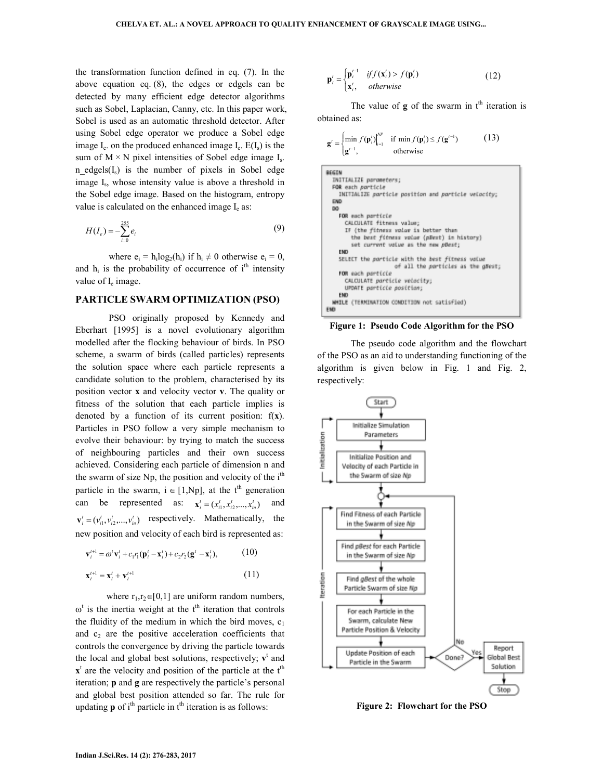the transformation function defined in eq. (7). In the above equation eq. (8), the edges or edgels can be detected by many efficient edge detector algorithms such as Sobel, Laplacian, Canny, etc. In this paper work, Sobel is used as an automatic threshold detector. After using Sobel edge operator we produce a Sobel edge image  $I_e$  on the produced enhanced image  $I_e$ .  $E(I_s)$  is the sum of  $M \times N$  pixel intensities of Sobel edge image  $I_s$ . n edgels $(I_s)$  is the number of pixels in Sobel edge image I<sub>s</sub>, whose intensity value is above a threshold in the Sobel edge image. Based on the histogram, entropy value is calculated on the enhanced image  $I_e$  as:

$$
H(I_e) = -\sum_{i=0}^{255} e_i
$$
 (9)

where  $e_i = h_i \log_2(h_i)$  if  $h_i \neq 0$  otherwise  $e_i = 0$ , and  $h_i$  is the probability of occurrence of  $i<sup>th</sup>$  intensity value of I<sub>e</sub> image.

#### **PARTICLE SWARM OPTIMIZATION (PSO)**

 PSO originally proposed by Kennedy and Eberhart [1995] is a novel evolutionary algorithm modelled after the flocking behaviour of birds. In PSO scheme, a swarm of birds (called particles) represents the solution space where each particle represents a candidate solution to the problem, characterised by its position vector **x** and velocity vector **v**. The quality or fitness of the solution that each particle implies is denoted by a function of its current position: f(**x**). Particles in PSO follow a very simple mechanism to evolve their behaviour: by trying to match the success of neighbouring particles and their own success achieved. Considering each particle of dimension n and the swarm of size Np, the position and velocity of the  $i<sup>th</sup>$ particle in the swarm,  $i \in [1, Np]$ , at the t<sup>th</sup> generation can be represented as:  $\mathbf{x}_i^t = (x_{i1}^t, x_{i2}^t, ..., x_{in}^t)$  and  $\mathbf{v}_i^t = (v_{i1}^t, v_{i2}^t, \dots, v_{in}^t)$  respectively. Mathematically, the new position and velocity of each bird is represented as:

$$
\mathbf{v}_{i}^{t+1} = \omega^{t} \mathbf{v}_{i}^{t} + c_{1} r_{1} (\mathbf{p}_{i}^{t} - \mathbf{x}_{i}^{t}) + c_{2} r_{2} (\mathbf{g}^{t} - \mathbf{x}_{i}^{t}), \qquad (10)
$$
  

$$
\mathbf{x}_{i}^{t+1} = \mathbf{x}_{i}^{t} + \mathbf{v}_{i}^{t+1} \qquad (11)
$$

where  $r_1, r_2 \in [0,1]$  are uniform random numbers,  $\omega^t$  is the inertia weight at the t<sup>th</sup> iteration that controls the fluidity of the medium in which the bird moves,  $c_1$ and  $c_2$  are the positive acceleration coefficients that controls the convergence by driving the particle towards the local and global best solutions, respectively;  $v^t$  and  $x<sup>t</sup>$  are the velocity and position of the particle at the  $t<sup>th</sup>$ iteration; **p** and **g** are respectively the particle's personal and global best position attended so far. The rule for updating  $\bf{p}$  of i<sup>th</sup> particle in  $t^{\text{th}}$  iteration is as follows:

$$
\mathbf{p}'_i = \begin{cases} \mathbf{p}'_i^{-1} & \text{if } f(\mathbf{x}'_i) > f(\mathbf{p}'_i) \\ \mathbf{x}'_i, & \text{otherwise} \end{cases}
$$
 (12)

The value of  $g$  of the swarm in  $t<sup>th</sup>$  iteration is obtained as:

$$
\mathbf{g}' = \begin{cases} \min_{\mathbf{g}'} f(\mathbf{p}'_i) \Big|_{i=1}^{NP} & \text{if } \min f(\mathbf{p}'_i) \le f(\mathbf{g}'^{-1})\\ \mathbf{g}'^{-1}, & \text{otherwise} \end{cases} \tag{13}
$$

| EGIN                                                |
|-----------------------------------------------------|
| INITIALIZE parameters;                              |
| FOR each porticle                                   |
| INITIALIZE particle position and particle velocity; |
| <b>END</b>                                          |
| DO.                                                 |
| FOR each particle                                   |
| CALCULATE fitness value;                            |
| IF (the fitness volue is better than                |
| the best fitness volue (pRest) in history)          |
| set current value as the new pBest;                 |
| <b>EMD</b>                                          |
| SELECT the particle with the best fitness value     |
| of all the porticles as the great;                  |
| FOR each particle                                   |
| CALCULATE particle velocity;                        |
| UPDATE particle position;                           |
| <b>END</b>                                          |
| WHILE (TERMINATION CONDITION not satisfied)         |
| EMD                                                 |

**Figure 1: Pseudo Code Algorithm for the PSO** 

 The pseudo code algorithm and the flowchart of the PSO as an aid to understanding functioning of the algorithm is given below in Fig. 1 and Fig. 2, respectively:



**Figure 2: Flowchart for the PSO**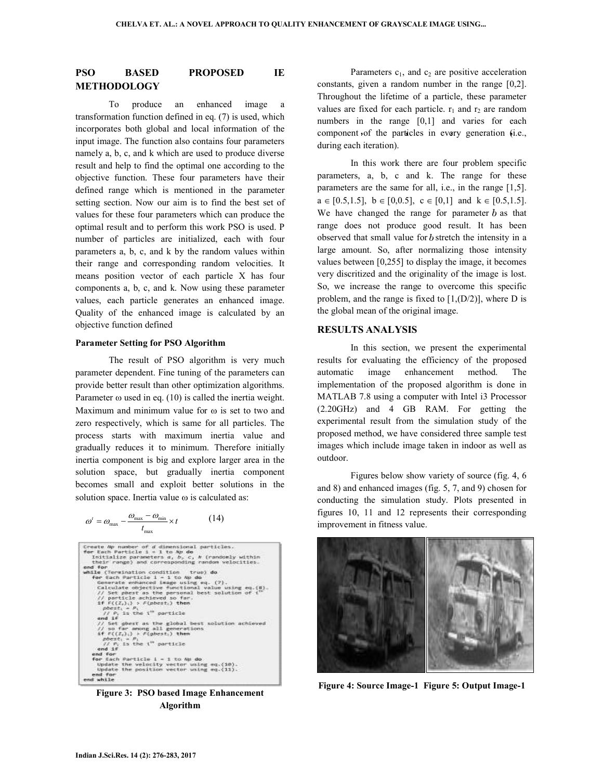## **PSO BASED PROPOSED IE METHODOLOGY**

 To produce an enhanced image a transformation function defined in eq. (7) is used, which incorporates both global and local information of the input image. The function also contains four parameters namely a, b, c, and k which are used to produce diverse result and help to find the optimal one according to the objective function. These four parameters have their defined range which is mentioned in the parameter setting section. Now our aim is to find the best set of values for these four parameters which can produce the optimal result and to perform this work PSO is used. P number of particles are initialized, each with four parameters a, b, c, and k by the random values within their range and corresponding random velocities. It means position vector of each particle X has four components a, b, c, and k. Now using these parameter values, each particle generates an enhanced image. Quality of the enhanced image is calculated by an objective function defined

#### **Parameter Setting for PSO Algorithm**

 The result of PSO algorithm is very much parameter dependent. Fine tuning of the parameters can provide better result than other optimization algorithms. Parameter  $\omega$  used in eq. (10) is called the inertia weight. Maximum and minimum value for ω is set to two and zero respectively, which is same for all particles. The process starts with maximum inertia value and gradually reduces it to minimum. Therefore initially inertia component is big and explore larger area in the solution space, but gradually inertia component becomes small and exploit better solutions in the solution space. Inertia value ω is calculated as:

$$
\omega' = \omega_{\text{max}} - \frac{\omega_{\text{max}} - \omega_{\text{min}}}{t_{\text{max}}} \times t \tag{14}
$$



**Figure 3: PSO based Image Enhancement Algorithm** 

Parameters  $c_1$ , and  $c_2$  are positive acceleration constants, given a random number in the range [0,2]. Throughout the lifetime of a particle, these parameter values are fixed for each particle.  $r_1$  and  $r_2$  are random numbers in the range [0,1] and varies for each component of the particles in every generation (i.e., during each iteration).

 In this work there are four problem specific parameters, a, b, c and k. The range for these parameters are the same for all, i.e., in the range [1,5].  $a \in [0.5, 1.5], b \in [0, 0.5], c \in [0, 1]$  and  $k \in [0.5, 1.5].$ We have changed the range for parameter  $b$  as that range does not produce good result. It has been observed that small value for  $b$  stretch the intensity in a large amount. So, after normalizing those intensity values between [0,255] to display the image, it becomes very discritized and the originality of the image is lost. So, we increase the range to overcome this specific problem, and the range is fixed to  $[1,(D/2)]$ , where D is the global mean of the original image.

## **RESULTS ANALYSIS**

 In this section, we present the experimental results for evaluating the efficiency of the proposed automatic image enhancement method. The implementation of the proposed algorithm is done in MATLAB 7.8 using a computer with Intel i3 Processor (2.20GHz) and 4 GB RAM. For getting the experimental result from the simulation study of the proposed method, we have considered three sample test images which include image taken in indoor as well as outdoor.

 Figures below show variety of source (fig. 4, 6 and 8) and enhanced images (fig. 5, 7, and 9) chosen for conducting the simulation study. Plots presented in figures 10, 11 and 12 represents their corresponding improvement in fitness value.



**Figure 4: Source Image-1 Figure 5: Output Image-1**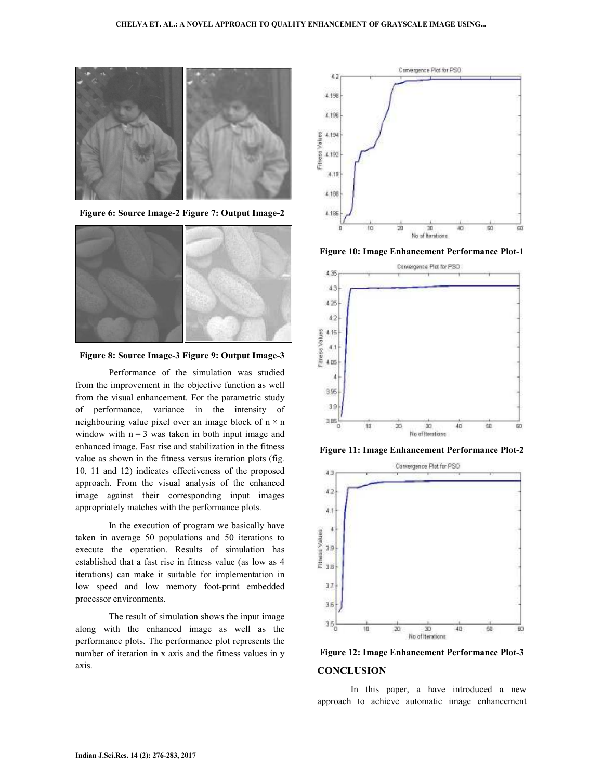

 **Figure 6: Source Image-2 Figure 7: Output Image-2** 



 **Figure 8: Source Image-3 Figure 9: Output Image-3** 

 Performance of the simulation was studied from the improvement in the objective function as well from the visual enhancement. For the parametric study of performance, variance in the intensity of neighbouring value pixel over an image block of  $n \times n$ window with  $n = 3$  was taken in both input image and enhanced image. Fast rise and stabilization in the fitness value as shown in the fitness versus iteration plots (fig. 10, 11 and 12) indicates effectiveness of the proposed approach. From the visual analysis of the enhanced image against their corresponding input images appropriately matches with the performance plots.

 In the execution of program we basically have taken in average 50 populations and 50 iterations to execute the operation. Results of simulation has established that a fast rise in fitness value (as low as 4 iterations) can make it suitable for implementation in low speed and low memory foot-print embedded processor environments.

 The result of simulation shows the input image along with the enhanced image as well as the performance plots. The performance plot represents the number of iteration in x axis and the fitness values in y axis.



**Figure 10: Image Enhancement Performance Plot-1** 



**Figure 11: Image Enhancement Performance Plot-2** 



**Figure 12: Image Enhancement Performance Plot-3 CONCLUSION** 

 In this paper, a have introduced a new approach to achieve automatic image enhancement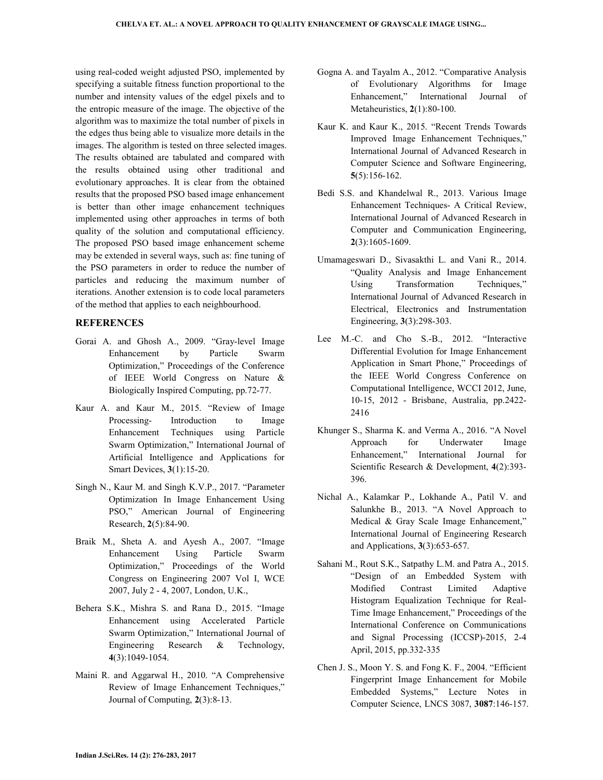using real-coded weight adjusted PSO, implemented by specifying a suitable fitness function proportional to the number and intensity values of the edgel pixels and to the entropic measure of the image. The objective of the algorithm was to maximize the total number of pixels in the edges thus being able to visualize more details in the images. The algorithm is tested on three selected images. The results obtained are tabulated and compared with the results obtained using other traditional and evolutionary approaches. It is clear from the obtained results that the proposed PSO based image enhancement is better than other image enhancement techniques implemented using other approaches in terms of both quality of the solution and computational efficiency. The proposed PSO based image enhancement scheme may be extended in several ways, such as: fine tuning of the PSO parameters in order to reduce the number of particles and reducing the maximum number of iterations. Another extension is to code local parameters of the method that applies to each neighbourhood.

### **REFERENCES**

- Gorai A. and Ghosh A., 2009. "Gray-level Image Enhancement by Particle Swarm Optimization," Proceedings of the Conference of IEEE World Congress on Nature & Biologically Inspired Computing, pp.72-77.
- Kaur A. and Kaur M., 2015. "Review of Image Processing- Introduction to Image Enhancement Techniques using Particle Swarm Optimization," International Journal of Artificial Intelligence and Applications for Smart Devices, **3**(1):15-20.
- Singh N., Kaur M. and Singh K.V.P., 2017. "Parameter Optimization In Image Enhancement Using PSO," American Journal of Engineering Research, **2**(5):84-90.
- Braik M., Sheta A. and Ayesh A., 2007. "Image Enhancement Using Particle Swarm Optimization," Proceedings of the World Congress on Engineering 2007 Vol I, WCE 2007, July 2 - 4, 2007, London, U.K.,
- Behera S.K., Mishra S. and Rana D., 2015. "Image Enhancement using Accelerated Particle Swarm Optimization," International Journal of Engineering Research & Technology, **4**(3):1049-1054.
- Maini R. and Aggarwal H., 2010. "A Comprehensive Review of Image Enhancement Techniques," Journal of Computing, **2**(3):8-13.
- Gogna A. and Tayalm A., 2012. "Comparative Analysis of Evolutionary Algorithms for Image Enhancement," International Journal of Metaheuristics, **2**(1):80-100.
- Kaur K. and Kaur K., 2015. "Recent Trends Towards Improved Image Enhancement Techniques," International Journal of Advanced Research in Computer Science and Software Engineering, **5**(5):156-162.
- Bedi S.S. and Khandelwal R., 2013. Various Image Enhancement Techniques- A Critical Review, International Journal of Advanced Research in Computer and Communication Engineering, **2**(3):1605-1609.
- Umamageswari D., Sivasakthi L. and Vani R., 2014. "Quality Analysis and Image Enhancement Using Transformation Techniques," International Journal of Advanced Research in Electrical, Electronics and Instrumentation Engineering, **3**(3):298-303.
- Lee M.-C. and Cho S.-B., 2012. "Interactive Differential Evolution for Image Enhancement Application in Smart Phone," Proceedings of the IEEE World Congress Conference on Computational Intelligence, WCCI 2012, June, 10-15, 2012 - Brisbane, Australia, pp.2422- 2416
- Khunger S., Sharma K. and Verma A., 2016. "A Novel Approach for Underwater Image Enhancement," International Journal for Scientific Research & Development, **4**(2):393- 396.
- Nichal A., Kalamkar P., Lokhande A., Patil V. and Salunkhe B., 2013. "A Novel Approach to Medical & Gray Scale Image Enhancement," International Journal of Engineering Research and Applications, **3**(3):653-657.
- Sahani M., Rout S.K., Satpathy L.M. and Patra A., 2015. "Design of an Embedded System with Modified Contrast Limited Adaptive Histogram Equalization Technique for Real-Time Image Enhancement," Proceedings of the International Conference on Communications and Signal Processing (ICCSP)-2015, 2-4 April, 2015, pp.332-335
- Chen J. S., Moon Y. S. and Fong K. F., 2004. "Efficient Fingerprint Image Enhancement for Mobile Embedded Systems," Lecture Notes in Computer Science, LNCS 3087, **3087**:146-157.